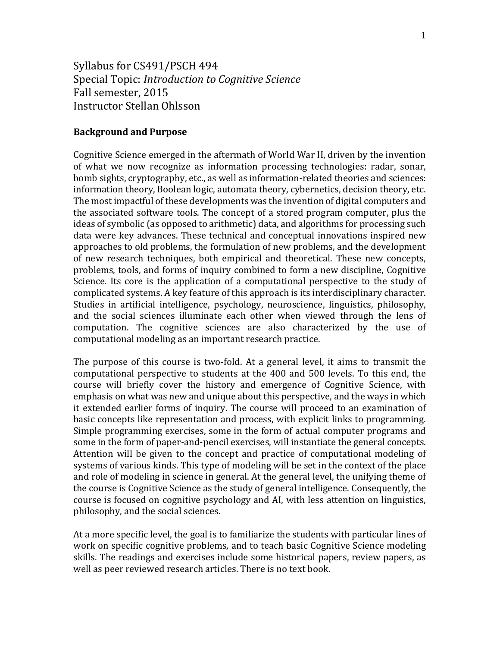Syllabus for CS491/PSCH 494 Special Topic: *Introduction to Cognitive Science* Fall semester, 2015 Instructor Stellan Ohlsson

### **Background and Purpose**

Cognitive Science emerged in the aftermath of World War II, driven by the invention of what we now recognize as information processing technologies: radar, sonar, bomb sights, cryptography, etc., as well as information-related theories and sciences: information theory, Boolean logic, automata theory, cybernetics, decision theory, etc. The most impactful of these developments was the invention of digital computers and the associated software tools. The concept of a stored program computer, plus the ideas of symbolic (as opposed to arithmetic) data, and algorithms for processing such data were key advances. These technical and conceptual innovations inspired new approaches to old problems, the formulation of new problems, and the development of new research techniques, both empirical and theoretical. These new concepts, problems, tools, and forms of inquiry combined to form a new discipline, Cognitive Science. Its core is the application of a computational perspective to the study of complicated systems. A key feature of this approach is its interdisciplinary character. Studies in artificial intelligence, psychology, neuroscience, linguistics, philosophy, and the social sciences illuminate each other when viewed through the lens of computation. The cognitive sciences are also characterized by the use of computational modeling as an important research practice.

The purpose of this course is two-fold. At a general level, it aims to transmit the computational perspective to students at the 400 and 500 levels. To this end, the course will briefly cover the history and emergence of Cognitive Science, with emphasis on what was new and unique about this perspective, and the ways in which it extended earlier forms of inquiry. The course will proceed to an examination of basic concepts like representation and process, with explicit links to programming. Simple programming exercises, some in the form of actual computer programs and some in the form of paper-and-pencil exercises, will instantiate the general concepts. Attention will be given to the concept and practice of computational modeling of systems of various kinds. This type of modeling will be set in the context of the place and role of modeling in science in general. At the general level, the unifying theme of the course is Cognitive Science as the study of general intelligence. Consequently, the course is focused on cognitive psychology and AI, with less attention on linguistics, philosophy, and the social sciences.

At a more specific level, the goal is to familiarize the students with particular lines of work on specific cognitive problems, and to teach basic Cognitive Science modeling skills. The readings and exercises include some historical papers, review papers, as well as peer reviewed research articles. There is no text book.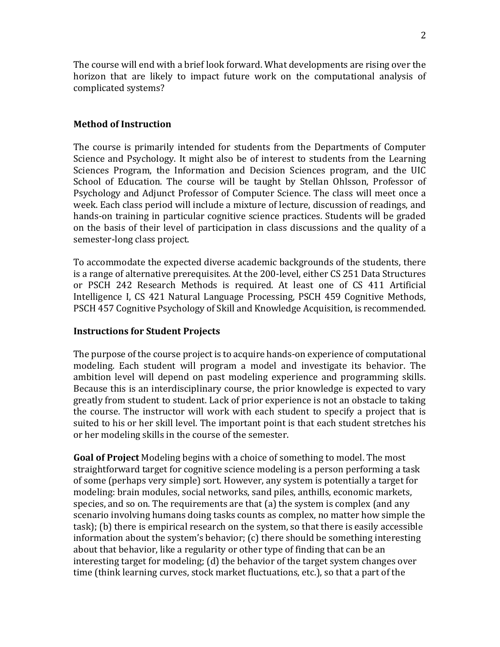The course will end with a brief look forward. What developments are rising over the horizon that are likely to impact future work on the computational analysis of complicated systems?

# **Method of Instruction**

The course is primarily intended for students from the Departments of Computer Science and Psychology. It might also be of interest to students from the Learning Sciences Program, the Information and Decision Sciences program, and the UIC School of Education. The course will be taught by Stellan Ohlsson, Professor of Psychology and Adjunct Professor of Computer Science. The class will meet once a week. Each class period will include a mixture of lecture, discussion of readings, and hands-on training in particular cognitive science practices. Students will be graded on the basis of their level of participation in class discussions and the quality of a semester-long class project.

To accommodate the expected diverse academic backgrounds of the students, there is a range of alternative prerequisites. At the 200-level, either CS 251 Data Structures or PSCH 242 Research Methods is required. At least one of CS 411 Artificial Intelligence I, CS 421 Natural Language Processing, PSCH 459 Cognitive Methods, PSCH 457 Cognitive Psychology of Skill and Knowledge Acquisition, is recommended.

# **Instructions for Student Projects**

The purpose of the course project is to acquire hands-on experience of computational modeling. Each student will program a model and investigate its behavior. The ambition level will depend on past modeling experience and programming skills. Because this is an interdisciplinary course, the prior knowledge is expected to vary greatly from student to student. Lack of prior experience is not an obstacle to taking the course. The instructor will work with each student to specify a project that is suited to his or her skill level. The important point is that each student stretches his or her modeling skills in the course of the semester.

**Goal of Project** Modeling begins with a choice of something to model. The most straightforward target for cognitive science modeling is a person performing a task of some (perhaps very simple) sort. However, any system is potentially a target for modeling: brain modules, social networks, sand piles, anthills, economic markets, species, and so on. The requirements are that (a) the system is complex (and any scenario involving humans doing tasks counts as complex, no matter how simple the task); (b) there is empirical research on the system, so that there is easily accessible information about the system's behavior; (c) there should be something interesting about that behavior, like a regularity or other type of finding that can be an interesting target for modeling; (d) the behavior of the target system changes over time (think learning curves, stock market fluctuations, etc.), so that a part of the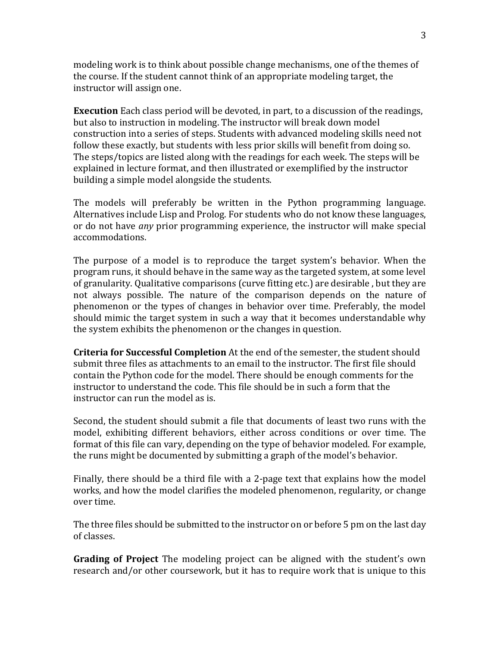modeling work is to think about possible change mechanisms, one of the themes of the course. If the student cannot think of an appropriate modeling target, the instructor will assign one.

**Execution** Each class period will be devoted, in part, to a discussion of the readings, but also to instruction in modeling. The instructor will break down model construction into a series of steps. Students with advanced modeling skills need not follow these exactly, but students with less prior skills will benefit from doing so. The steps/topics are listed along with the readings for each week. The steps will be explained in lecture format, and then illustrated or exemplified by the instructor building a simple model alongside the students.

The models will preferably be written in the Python programming language. Alternatives include Lisp and Prolog. For students who do not know these languages, or do not have *any* prior programming experience, the instructor will make special accommodations.

The purpose of a model is to reproduce the target system's behavior. When the program runs, it should behave in the same way as the targeted system, at some level of granularity. Qualitative comparisons (curve fitting etc.) are desirable , but they are not always possible. The nature of the comparison depends on the nature of phenomenon or the types of changes in behavior over time. Preferably, the model should mimic the target system in such a way that it becomes understandable why the system exhibits the phenomenon or the changes in question.

**Criteria for Successful Completion** At the end of the semester, the student should submit three files as attachments to an email to the instructor. The first file should contain the Python code for the model. There should be enough comments for the instructor to understand the code. This file should be in such a form that the instructor can run the model as is.

Second, the student should submit a file that documents of least two runs with the model, exhibiting different behaviors, either across conditions or over time. The format of this file can vary, depending on the type of behavior modeled. For example, the runs might be documented by submitting a graph of the model's behavior.

Finally, there should be a third file with a 2-page text that explains how the model works, and how the model clarifies the modeled phenomenon, regularity, or change over time.

The three files should be submitted to the instructor on or before 5 pm on the last day of classes.

**Grading of Project** The modeling project can be aligned with the student's own research and/or other coursework, but it has to require work that is unique to this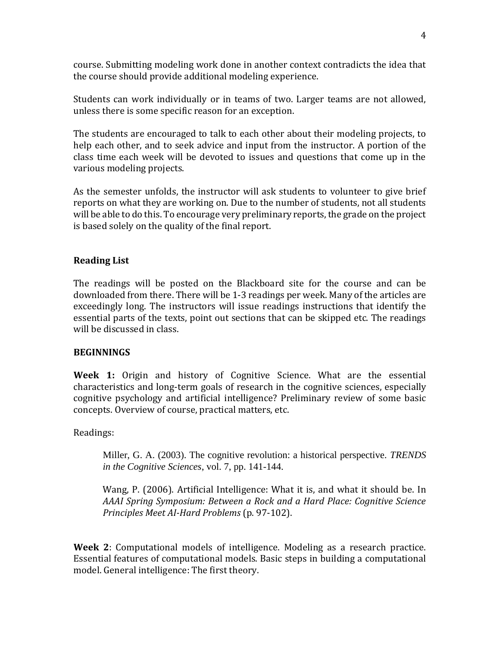course. Submitting modeling work done in another context contradicts the idea that the course should provide additional modeling experience.

Students can work individually or in teams of two. Larger teams are not allowed, unless there is some specific reason for an exception.

The students are encouraged to talk to each other about their modeling projects, to help each other, and to seek advice and input from the instructor. A portion of the class time each week will be devoted to issues and questions that come up in the various modeling projects.

As the semester unfolds, the instructor will ask students to volunteer to give brief reports on what they are working on. Due to the number of students, not all students will be able to do this. To encourage very preliminary reports, the grade on the project is based solely on the quality of the final report.

# **Reading List**

The readings will be posted on the Blackboard site for the course and can be downloaded from there. There will be 1-3 readings per week. Many of the articles are exceedingly long. The instructors will issue readings instructions that identify the essential parts of the texts, point out sections that can be skipped etc. The readings will be discussed in class.

# **BEGINNINGS**

**Week 1:** Origin and history of Cognitive Science. What are the essential characteristics and long-term goals of research in the cognitive sciences, especially cognitive psychology and artificial intelligence? Preliminary review of some basic concepts. Overview of course, practical matters, etc.

Readings:

Miller, G. A. (2003). The cognitive revolution: a historical perspective. *TRENDS in the Cognitive Sciences*, vol. 7, pp. 141-144.

Wang, P. (2006). Artificial Intelligence: What it is, and what it should be. In *AAAI Spring Symposium: Between a Rock and a Hard Place: Cognitive Science Principles Meet AI-Hard Problems* (p. 97-102).

**Week 2**: Computational models of intelligence. Modeling as a research practice. Essential features of computational models. Basic steps in building a computational model. General intelligence: The first theory.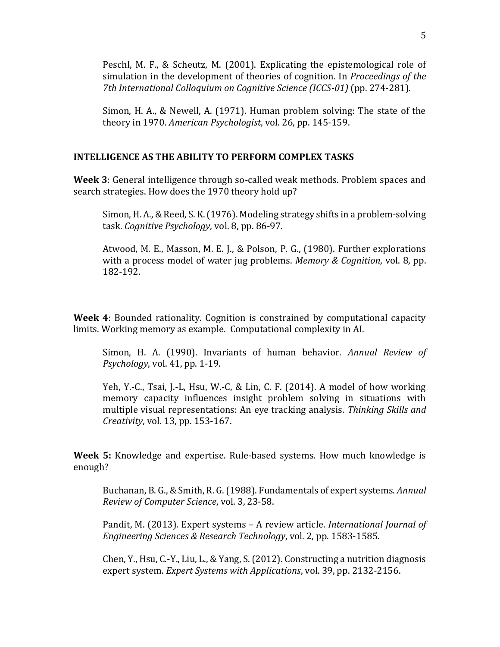Peschl, M. F., & Scheutz, M. (2001). Explicating the epistemological role of simulation in the development of theories of cognition. In *Proceedings of the 7th International Colloquium on Cognitive Science (ICCS-01)* (pp. 274-281).

Simon, H. A., & Newell, A. (1971). Human problem solving: The state of the theory in 1970. *American Psychologist*, vol. 26, pp. 145-159.

### **INTELLIGENCE AS THE ABILITY TO PERFORM COMPLEX TASKS**

**Week 3**: General intelligence through so-called weak methods. Problem spaces and search strategies. How does the 1970 theory hold up?

Simon, H. A., & Reed, S. K. (1976). Modeling strategy shifts in a problem-solving task. *Cognitive Psychology*, vol. 8, pp. 86-97.

Atwood, M. E., Masson, M. E. J., & Polson, P. G., (1980). Further explorations with a process model of water jug problems. *Memory & Cognition*, vol. 8, pp. 182-192.

**Week 4**: Bounded rationality. Cognition is constrained by computational capacity limits. Working memory as example. Computational complexity in AI.

Simon, H. A. (1990). Invariants of human behavior. *Annual Review of Psychology*, vol. 41, pp. 1-19.

Yeh, Y.-C., Tsai, J.-L, Hsu, W.-C, & Lin, C. F. (2014). A model of how working memory capacity influences insight problem solving in situations with multiple visual representations: An eye tracking analysis. *Thinking Skills and Creativity*, vol. 13, pp. 153-167.

**Week 5:** Knowledge and expertise. Rule-based systems. How much knowledge is enough?

Buchanan, B. G., & Smith, R. G. (1988). Fundamentals of expert systems. *Annual Review of Computer Science*, vol. 3, 23-58.

Pandit, M. (2013). Expert systems – A review article. *International Journal of Engineering Sciences & Research Technology*, vol. 2, pp. 1583-1585.

Chen, Y., Hsu, C.-Y., Liu, L., & Yang, S. (2012). Constructing a nutrition diagnosis expert system. *Expert Systems with Applications*, vol. 39, pp. 2132-2156.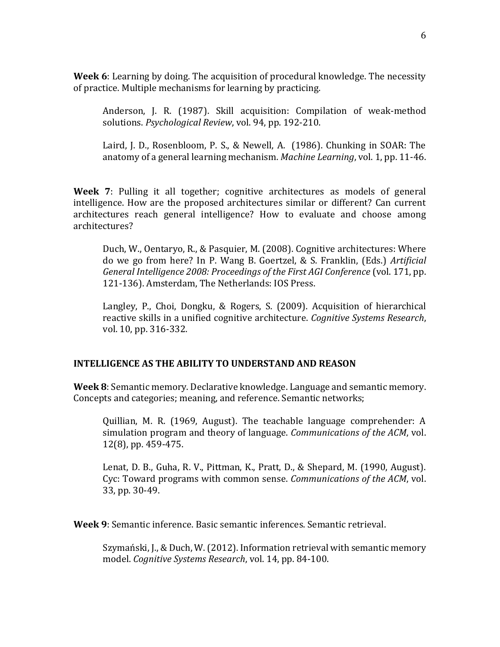**Week 6**: Learning by doing. The acquisition of procedural knowledge. The necessity of practice. Multiple mechanisms for learning by practicing.

Anderson, J. R. (1987). Skill acquisition: Compilation of weak-method solutions. *Psychological Review*, vol. 94, pp. 192-210.

Laird, J. D., Rosenbloom, P. S., & Newell, A. (1986). Chunking in SOAR: The anatomy of a general learning mechanism. *Machine Learning*, vol. 1, pp. 11-46.

**Week 7**: Pulling it all together; cognitive architectures as models of general intelligence. How are the proposed architectures similar or different? Can current architectures reach general intelligence? How to evaluate and choose among architectures?

Duch, W., Oentaryo, R., & Pasquier, M. (2008). Cognitive architectures: Where do we go from here? In P. Wang B. Goertzel, & S. Franklin, (Eds.) *Artificial General Intelligence 2008: Proceedings of the First AGI Conference* (vol. 171, pp. 121-136). Amsterdam, The Netherlands: IOS Press.

Langley, P., Choi, Dongku, & Rogers, S. (2009). Acquisition of hierarchical reactive skills in a unified cognitive architecture. *Cognitive Systems Research*, vol. 10, pp. 316-332.

# **INTELLIGENCE AS THE ABILITY TO UNDERSTAND AND REASON**

**Week 8**: Semantic memory. Declarative knowledge. Language and semantic memory. Concepts and categories; meaning, and reference. Semantic networks;

Quillian, M. R. (1969, August). The teachable language comprehender: A simulation program and theory of language. *Communications of the ACM*, vol. 12(8), pp. 459-475.

Lenat, D. B., Guha, R. V., Pittman, K., Pratt, D., & Shepard, M. (1990, August). Cyc: Toward programs with common sense. *Communications of the ACM*, vol. 33, pp. 30-49.

**Week 9**: Semantic inference. Basic semantic inferences. Semantic retrieval.

Szymański, J., & Duch, W. (2012). Information retrieval with semantic memory model. *Cognitive Systems Research*, vol. 14, pp. 84-100.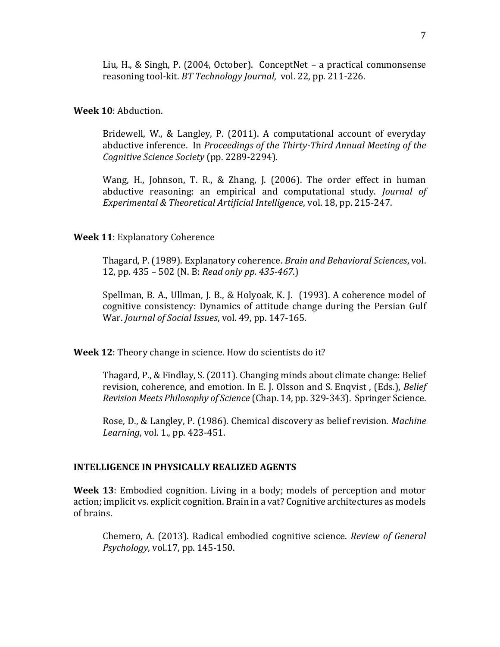Liu, H., & Singh, P. (2004, October). ConceptNet – a practical commonsense reasoning tool-kit. *BT Technology Journal*, vol. 22, pp. 211-226.

#### **Week 10**: Abduction.

Bridewell, W., & Langley, P. (2011). A computational account of everyday abductive inference. In *Proceedings of the Thirty-Third Annual Meeting of the Cognitive Science Society* (pp. 2289-2294).

Wang, H., Johnson, T. R., & Zhang, J. (2006). The order effect in human abductive reasoning: an empirical and computational study. *Journal of Experimental & Theoretical Artificial Intelligence*, vol. 18, pp. 215-247.

#### **Week 11**: Explanatory Coherence

Thagard, P. (1989). Explanatory coherence. *Brain and Behavioral Sciences*, vol. 12, pp. 435 – 502 (N. B: *Read only pp. 435-467*.)

Spellman, B. A., Ullman, J. B., & Holyoak, K. J. (1993). A coherence model of cognitive consistency: Dynamics of attitude change during the Persian Gulf War. *Journal of Social Issues*, vol. 49, pp. 147-165.

**Week 12**: Theory change in science. How do scientists do it?

Thagard, P., & Findlay, S. (2011). Changing minds about climate change: Belief revision, coherence, and emotion. In E. J. Olsson and S. Enqvist , (Eds.), *Belief Revision Meets Philosophy of Science* (Chap. 14, pp. 329-343). Springer Science.

Rose, D., & Langley, P. (1986). Chemical discovery as belief revision. *Machine Learning*, vol. 1., pp. 423-451.

## **INTELLIGENCE IN PHYSICALLY REALIZED AGENTS**

**Week 13**: Embodied cognition. Living in a body; models of perception and motor action; implicit vs. explicit cognition. Brain in a vat? Cognitive architectures as models of brains.

Chemero, A. (2013). Radical embodied cognitive science. *Review of General Psychology*, vol.17, pp. 145-150.